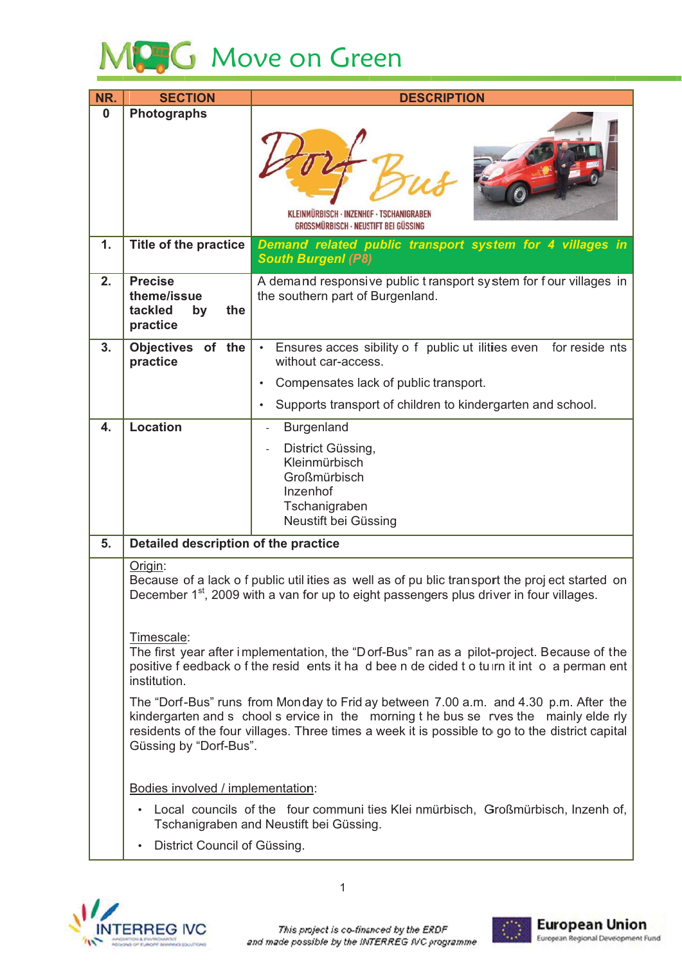

| NR.      | <b>SECTION</b>                                                                                                                                                                                                                                                                                             | <b>DESCRIPTION</b>                                                                                      |
|----------|------------------------------------------------------------------------------------------------------------------------------------------------------------------------------------------------------------------------------------------------------------------------------------------------------------|---------------------------------------------------------------------------------------------------------|
| $\bf{0}$ | <b>Photographs</b>                                                                                                                                                                                                                                                                                         | KLEINMÜRBISCH · INZENHOF · TSCHANIGRABEN<br><b>GROSSMÜRBISCH · NEUSTIFT BEI GÜSSING</b>                 |
| 1.       | <b>Title of the practice</b>                                                                                                                                                                                                                                                                               | Demand related public transport system for 4 villages in<br><b>South Burgenl (P8)</b>                   |
| 2.       | <b>Precise</b><br>theme/issue<br>tackled<br>the<br>by<br>practice                                                                                                                                                                                                                                          | A demand responsive public transport system for four villages in<br>the southern part of Burgenland.    |
| 3.       | Objectives of the<br>practice                                                                                                                                                                                                                                                                              | Ensures acces sibility o f public ut ilities even<br>for reside nts<br>$\bullet$<br>without car-access. |
|          |                                                                                                                                                                                                                                                                                                            | Compensates lack of public transport.<br>$\bullet$                                                      |
|          |                                                                                                                                                                                                                                                                                                            | Supports transport of children to kindergarten and school.<br>$\bullet$                                 |
| 4.       | <b>Location</b>                                                                                                                                                                                                                                                                                            | Burgenland                                                                                              |
|          |                                                                                                                                                                                                                                                                                                            | District Güssing,<br>Kleinmürbisch<br>Großmürbisch<br>Inzenhof<br>Tschanigraben<br>Neustift bei Güssing |
| 5.       | Detailed description of the practice                                                                                                                                                                                                                                                                       |                                                                                                         |
|          | Origin:<br>Because of a lack o f public util ities as well as of pu blic transport the proj ect started on<br>December 1 <sup>st</sup> , 2009 with a van for up to eight passengers plus driver in four villages.<br>Timescale:                                                                            |                                                                                                         |
|          | The first year after implementation, the "Dorf-Bus" ran as a pilot-project. Because of the<br>positive f eedback o f the resid ents it had been de cided to turn it int o a perman ent<br>institution.                                                                                                     |                                                                                                         |
|          | The "Dorf-Bus" runs from Monday to Frid ay between 7.00 a.m. and 4.30 p.m. After the<br>kindergarten and s chool s ervice in the morning t he bus se rves the mainly elde rly<br>residents of the four villages. Three times a week it is possible to go to the district capital<br>Güssing by "Dorf-Bus". |                                                                                                         |
|          | Bodies involved / implementation:                                                                                                                                                                                                                                                                          |                                                                                                         |
|          | • Local councils of the four communi ties Klei nmürbisch, Großmürbisch, Inzenh of,<br>Tschanigraben and Neustift bei Güssing.                                                                                                                                                                              |                                                                                                         |
|          | District Council of Güssing.                                                                                                                                                                                                                                                                               |                                                                                                         |



 $\mathbf{1}$ 

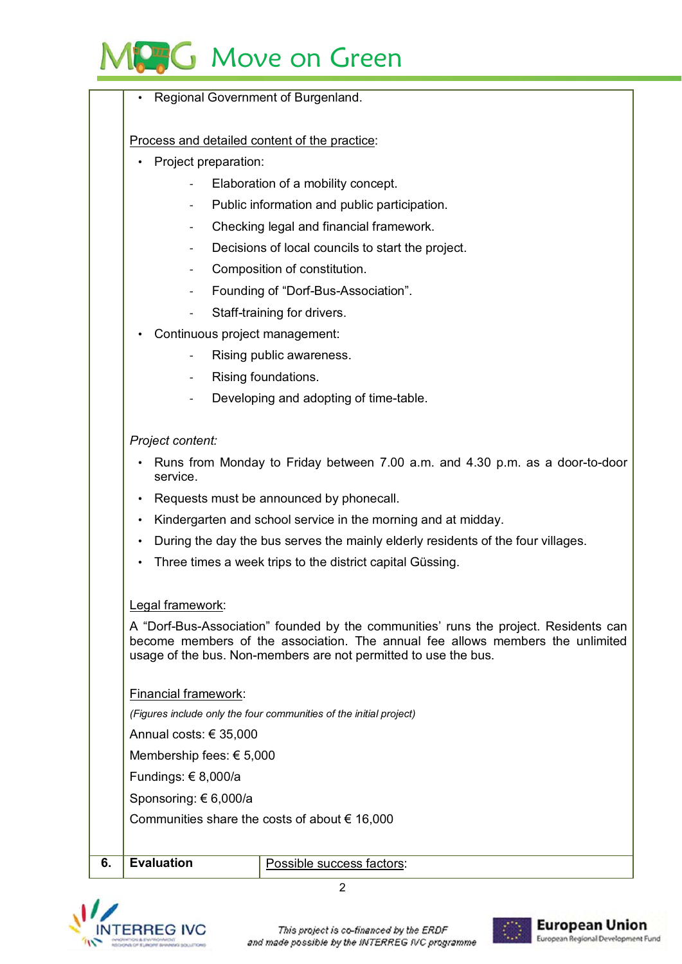## Move on Green

Regional Government of Burgenland.

Process and detailed content of the practice:

- Project preparation:
	- Elaboration of a mobility concept.
	- Public information and public participation.
	- Checking legal and financial framework.
	- Decisions of local councils to start the project.
	- Composition of constitution.
	- Founding of "Dorf-Bus-Association".
	- Staff-training for drivers.
- Continuous project management:
	- Rising public awareness.
	- Rising foundations.
	- Developing and adopting of time-table.

## Project content:

- Runs from Monday to Friday between 7.00 a.m. and 4.30 p.m. as a door-to-door service.
- Requests must be announced by phonecall.
- Kindergarten and school service in the morning and at midday.
- During the day the bus serves the mainly elderly residents of the four villages.
- Three times a week trips to the district capital Güssing.

## Legal framework:

A "Dorf-Bus-Association" founded by the communities' runs the project. Residents can become members of the association. The annual fee allows members the unlimited usage of the bus. Non-members are not permitted to use the bus.

Financial framework:

(Figures include only the four communities of the initial project)

Annual costs: € 35,000

Membership fees: € 5,000

Fundings: € 8,000/a

Sponsoring: €6,000/a

Communities share the costs of about  $\epsilon$  16,000

**Evaluation** 6.

Possible success factors:

 $\mathfrak{p}$